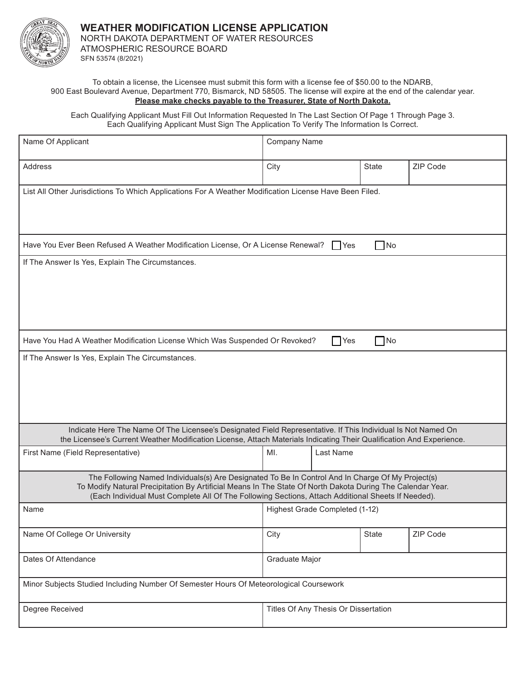

## To obtain a license, the Licensee must submit this form with a license fee of \$50.00 to the NDARB, 900 East Boulevard Avenue, Department 770, Bismarck, ND 58505. The license will expire at the end of the calendar year. **Please make checks payable to the Treasurer, State of North Dakota.**

Each Qualifying Applicant Must Fill Out Information Requested In The Last Section Of Page 1 Through Page 3. Each Qualifying Applicant Must Sign The Application To Verify The Information Is Correct.

| Name Of Applicant                                                                                                                                                                                                                                                                                                     | <b>Company Name</b>                                                                                    |               |              |          |  |
|-----------------------------------------------------------------------------------------------------------------------------------------------------------------------------------------------------------------------------------------------------------------------------------------------------------------------|--------------------------------------------------------------------------------------------------------|---------------|--------------|----------|--|
| Address                                                                                                                                                                                                                                                                                                               | City                                                                                                   |               | <b>State</b> | ZIP Code |  |
| List All Other Jurisdictions To Which Applications For A Weather Modification License Have Been Filed.                                                                                                                                                                                                                |                                                                                                        |               |              |          |  |
|                                                                                                                                                                                                                                                                                                                       | Have You Ever Been Refused A Weather Modification License, Or A License Renewal?<br>$\Box$ No<br>  Yes |               |              |          |  |
| If The Answer Is Yes, Explain The Circumstances.                                                                                                                                                                                                                                                                      |                                                                                                        |               |              |          |  |
| Have You Had A Weather Modification License Which Was Suspended Or Revoked?                                                                                                                                                                                                                                           |                                                                                                        | $\bigcap$ Yes | $\Box$ No    |          |  |
| Indicate Here The Name Of The Licensee's Designated Field Representative. If This Individual Is Not Named On<br>the Licensee's Current Weather Modification License, Attach Materials Indicating Their Qualification And Experience.                                                                                  |                                                                                                        |               |              |          |  |
| First Name (Field Representative)                                                                                                                                                                                                                                                                                     | MI.<br>Last Name                                                                                       |               |              |          |  |
| The Following Named Individuals(s) Are Designated To Be In Control And In Charge Of My Project(s)<br>To Modify Natural Precipitation By Artificial Means In The State Of North Dakota During The Calendar Year.<br>(Each Individual Must Complete All Of The Following Sections, Attach Additional Sheets If Needed). |                                                                                                        |               |              |          |  |
| Name                                                                                                                                                                                                                                                                                                                  | Highest Grade Completed (1-12)                                                                         |               |              |          |  |
| Name Of College Or University                                                                                                                                                                                                                                                                                         | City                                                                                                   |               | State        | ZIP Code |  |
| Dates Of Attendance                                                                                                                                                                                                                                                                                                   | Graduate Major                                                                                         |               |              |          |  |
| Minor Subjects Studied Including Number Of Semester Hours Of Meteorological Coursework                                                                                                                                                                                                                                |                                                                                                        |               |              |          |  |
| Degree Received                                                                                                                                                                                                                                                                                                       | Titles Of Any Thesis Or Dissertation                                                                   |               |              |          |  |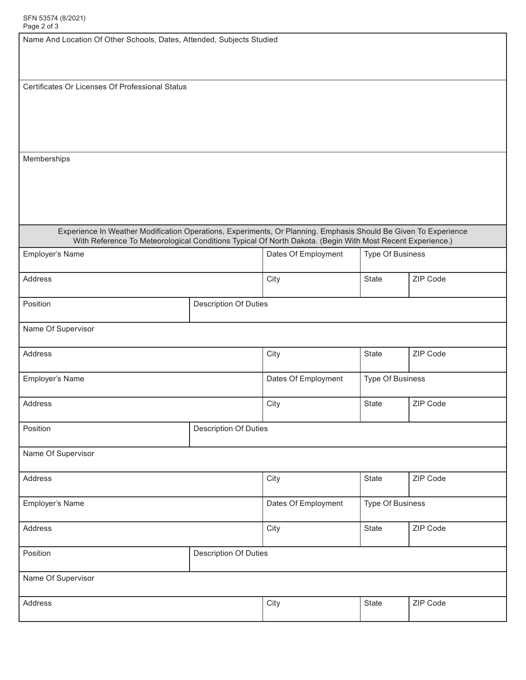| Page 2 or 3                                                                                                                                                                                                                  |                              |                       |                  |          |  |
|------------------------------------------------------------------------------------------------------------------------------------------------------------------------------------------------------------------------------|------------------------------|-----------------------|------------------|----------|--|
| Name And Location Of Other Schools, Dates, Attended, Subjects Studied                                                                                                                                                        |                              |                       |                  |          |  |
| Certificates Or Licenses Of Professional Status                                                                                                                                                                              |                              |                       |                  |          |  |
| Memberships                                                                                                                                                                                                                  |                              |                       |                  |          |  |
|                                                                                                                                                                                                                              |                              |                       |                  |          |  |
| Experience In Weather Modification Operations, Experiments, Or Planning. Emphasis Should Be Given To Experience<br>With Reference To Meteorological Conditions Typical Of North Dakota. (Begin With Most Recent Experience.) |                              |                       |                  |          |  |
| Employer's Name                                                                                                                                                                                                              |                              |                       | Type Of Business |          |  |
| Address                                                                                                                                                                                                                      |                              |                       | State            | ZIP Code |  |
| Position                                                                                                                                                                                                                     | <b>Description Of Duties</b> |                       |                  |          |  |
| Name Of Supervisor                                                                                                                                                                                                           |                              |                       |                  |          |  |
| Address                                                                                                                                                                                                                      |                              | City                  | State            | ZIP Code |  |
| Employer's Name                                                                                                                                                                                                              |                              | Dates Of Employment   | Type Of Business |          |  |
| Address                                                                                                                                                                                                                      |                              | City                  | <b>State</b>     | ZIP Code |  |
| Position                                                                                                                                                                                                                     | Description Of Duties        |                       |                  |          |  |
| Name Of Supervisor                                                                                                                                                                                                           |                              |                       |                  |          |  |
| Address                                                                                                                                                                                                                      |                              | City                  | State            | ZIP Code |  |
| Employer's Name                                                                                                                                                                                                              | Dates Of Employment          |                       | Type Of Business |          |  |
| Address                                                                                                                                                                                                                      |                              | City                  | State            | ZIP Code |  |
| Position                                                                                                                                                                                                                     |                              | Description Of Duties |                  |          |  |
| Name Of Supervisor                                                                                                                                                                                                           |                              |                       |                  |          |  |
| Address                                                                                                                                                                                                                      |                              | City                  | State            | ZIP Code |  |